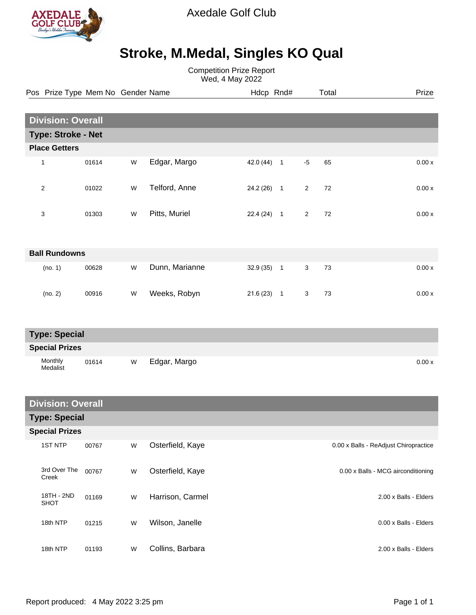

Axedale Golf Club

## **Stroke, M.Medal, Singles KO Qual**

Competition Prize Report Wed, 4 May 2022

|                           |                          | Pos Prize Type Mem No Gender Name |           |                | Hdcp Rnd#    |  |                | Total | Prize |  |  |
|---------------------------|--------------------------|-----------------------------------|-----------|----------------|--------------|--|----------------|-------|-------|--|--|
|                           |                          |                                   |           |                |              |  |                |       |       |  |  |
|                           | <b>Division: Overall</b> |                                   |           |                |              |  |                |       |       |  |  |
| <b>Type: Stroke - Net</b> |                          |                                   |           |                |              |  |                |       |       |  |  |
| <b>Place Getters</b>      |                          |                                   |           |                |              |  |                |       |       |  |  |
|                           | 1                        | 01614                             | ${\sf W}$ | Edgar, Margo   | $42.0(44)$ 1 |  | $-5$           | 65    | 0.00x |  |  |
|                           | $\mathbf{2}$             | 01022                             | W         | Telford, Anne  | $24.2(26)$ 1 |  | $\overline{2}$ | 72    | 0.00x |  |  |
|                           | 3                        | 01303                             | W         | Pitts, Muriel  | $22.4(24)$ 1 |  | $\overline{2}$ | 72    | 0.00x |  |  |
| <b>Ball Rundowns</b>      |                          |                                   |           |                |              |  |                |       |       |  |  |
|                           | (no. 1)                  | 00628                             | W         | Dunn, Marianne | $32.9(35)$ 1 |  | $\mathbf{3}$   | 73    | 0.00x |  |  |
|                           | (no. 2)                  | 00916                             | W         | Weeks, Robyn   | $21.6(23)$ 1 |  | 3              | 73    | 0.00x |  |  |
| <b>Type: Special</b>      |                          |                                   |           |                |              |  |                |       |       |  |  |
| <b>Special Prizes</b>     |                          |                                   |           |                |              |  |                |       |       |  |  |
|                           | Monthly<br>Medalist      | 01614                             | W         | Edgar, Margo   |              |  |                |       | 0.00x |  |  |

| <b>Division: Overall</b>  |       |   |                  |                                       |  |  |  |  |  |
|---------------------------|-------|---|------------------|---------------------------------------|--|--|--|--|--|
| <b>Type: Special</b>      |       |   |                  |                                       |  |  |  |  |  |
| <b>Special Prizes</b>     |       |   |                  |                                       |  |  |  |  |  |
| <b>1ST NTP</b>            | 00767 | W | Osterfield, Kaye | 0.00 x Balls - ReAdjust Chiropractice |  |  |  |  |  |
| 3rd Over The<br>Creek     | 00767 | W | Osterfield, Kaye | 0.00 x Balls - MCG airconditioning    |  |  |  |  |  |
| 18TH - 2ND<br><b>SHOT</b> | 01169 | W | Harrison, Carmel | 2.00 x Balls - Elders                 |  |  |  |  |  |
| 18th NTP                  | 01215 | W | Wilson, Janelle  | 0.00 x Balls - Elders                 |  |  |  |  |  |
| 18th NTP                  | 01193 | W | Collins, Barbara | 2.00 x Balls - Elders                 |  |  |  |  |  |